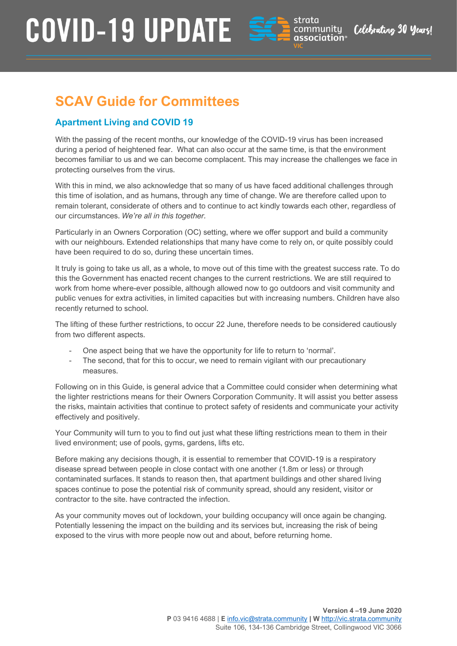

Celebrating 30 Years

### **SCAV Guide for Committees**

### **Apartment Living and COVID 19**

With the passing of the recent months, our knowledge of the COVID-19 virus has been increased during a period of heightened fear. What can also occur at the same time, is that the environment becomes familiar to us and we can become complacent. This may increase the challenges we face in protecting ourselves from the virus.

With this in mind, we also acknowledge that so many of us have faced additional challenges through this time of isolation, and as humans, through any time of change. We are therefore called upon to remain tolerant, considerate of others and to continue to act kindly towards each other, regardless of our circumstances. *We're all in this together.*

Particularly in an Owners Corporation (OC) setting, where we offer support and build a community with our neighbours. Extended relationships that many have come to rely on, or quite possibly could have been required to do so, during these uncertain times.

It truly is going to take us all, as a whole, to move out of this time with the greatest success rate. To do this the Government has enacted recent changes to the current restrictions. We are still required to work from home where-ever possible, although allowed now to go outdoors and visit community and public venues for extra activities, in limited capacities but with increasing numbers. Children have also recently returned to school.

The lifting of these further restrictions, to occur 22 June, therefore needs to be considered cautiously from two different aspects.

- One aspect being that we have the opportunity for life to return to 'normal'.
- The second, that for this to occur, we need to remain vigilant with our precautionary measures.

Following on in this Guide, is general advice that a Committee could consider when determining what the lighter restrictions means for their Owners Corporation Community. It will assist you better assess the risks, maintain activities that continue to protect safety of residents and communicate your activity effectively and positively.

Your Community will turn to you to find out just what these lifting restrictions mean to them in their lived environment; use of pools, gyms, gardens, lifts etc.

Before making any decisions though, it is essential to remember that COVID-19 is a respiratory disease spread between people in close contact with one another (1.8m or less) or through contaminated surfaces. It stands to reason then, that apartment buildings and other shared living spaces continue to pose the potential risk of community spread, should any resident, visitor or contractor to the site. have contracted the infection.

As your community moves out of lockdown, your building occupancy will once again be changing. Potentially lessening the impact on the building and its services but, increasing the risk of being exposed to the virus with more people now out and about, before returning home.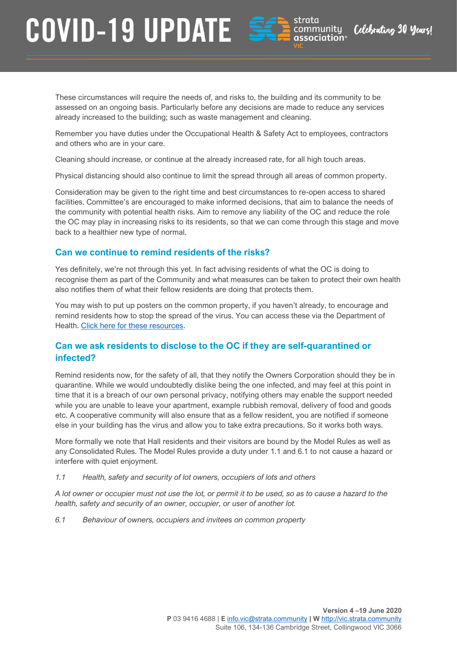

community

association®

Celebrating 30 Years

These circumstances will require the needs of, and risks to, the building and its community to be assessed on an ongoing basis. Particularly before any decisions are made to reduce any services already increased to the building; such as waste management and cleaning.

Remember you have duties under the Occupational Health & Safety Act to employees, contractors and others who are in your care.

Cleaning should increase, or continue at the already increased rate, for all high touch areas.

Physical distancing should also continue to limit the spread through all areas of common property.

Consideration may be given to the right time and best circumstances to re-open access to shared facilities. Committee's are encouraged to make informed decisions, that aim to balance the needs of the community with potential health risks. Aim to remove any liability of the OC and reduce the role the OC may play in increasing risks to its residents, so that we can come through this stage and move back to a healthier new type of normal.

#### **Can we continue to remind residents of the risks?**

Yes definitely, we're not through this yet. In fact advising residents of what the OC is doing to recognise them as part of the Community and what measures can be taken to protect their own health also notifies them of what their fellow residents are doing that protects them.

You may wish to put up posters on the common property, if you haven't already, to encourage and remind residents how to stop the spread of the virus. You can access these via the Department of Health. [Click here for these resources.](https://www.health.gov.au/resources/publications/coronavirus-covid-19-print-ads-simple-steps-to-stop-the-spread)

#### **Can we ask residents to disclose to the OC if they are self-quarantined or infected?**

Remind residents now, for the safety of all, that they notify the Owners Corporation should they be in quarantine. While we would undoubtedly dislike being the one infected, and may feel at this point in time that it is a breach of our own personal privacy, notifying others may enable the support needed while you are unable to leave your apartment, example rubbish removal, delivery of food and goods etc. A cooperative community will also ensure that as a fellow resident, you are notified if someone else in your building has the virus and allow you to take extra precautions. So it works both ways.

More formally we note that Hall residents and their visitors are bound by the Model Rules as well as any Consolidated Rules. The Model Rules provide a duty under 1.1 and 6.1 to not cause a hazard or interfere with quiet enjoyment.

*1.1 Health, safety and security of lot owners, occupiers of lots and others*

*A lot owner or occupier must not use the lot, or permit it to be used, so as to cause a hazard to the health, safety and security of an owner, occupier, or user of another lot.*

*6.1 Behaviour of owners, occupiers and invitees on common property*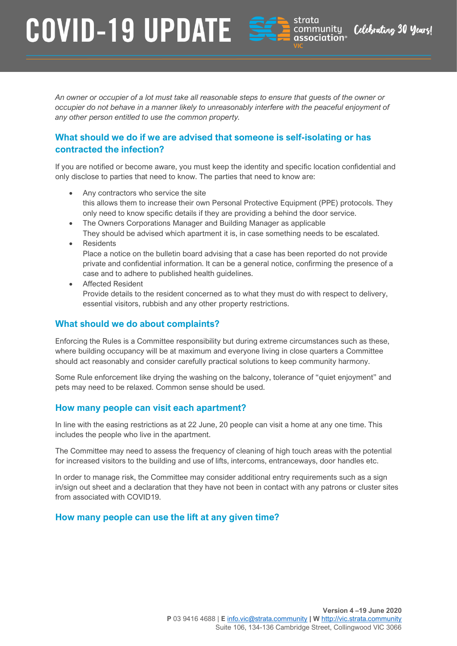

community

association®

Celebrating 30 Years

*An owner or occupier of a lot must take all reasonable steps to ensure that guests of the owner or occupier do not behave in a manner likely to unreasonably interfere with the peaceful enjoyment of any other person entitled to use the common property.*

#### **What should we do if we are advised that someone is self-isolating or has contracted the infection?**

If you are notified or become aware, you must keep the identity and specific location confidential and only disclose to parties that need to know. The parties that need to know are:

- Any contractors who service the site this allows them to increase their own Personal Protective Equipment (PPE) protocols. They only need to know specific details if they are providing a behind the door service.
- The Owners Corporations Manager and Building Manager as applicable They should be advised which apartment it is, in case something needs to be escalated.
- Residents

Place a notice on the bulletin board advising that a case has been reported do not provide private and confidential information. It can be a general notice, confirming the presence of a case and to adhere to published health guidelines.

• Affected Resident Provide details to the resident concerned as to what they must do with respect to delivery, essential visitors, rubbish and any other property restrictions.

#### **What should we do about complaints?**

Enforcing the Rules is a Committee responsibility but during extreme circumstances such as these, where building occupancy will be at maximum and everyone living in close quarters a Committee should act reasonably and consider carefully practical solutions to keep community harmony.

Some Rule enforcement like drying the washing on the balcony, tolerance of "quiet enjoyment" and pets may need to be relaxed. Common sense should be used.

#### **How many people can visit each apartment?**

In line with the easing restrictions as at 22 June, 20 people can visit a home at any one time. This includes the people who live in the apartment.

The Committee may need to assess the frequency of cleaning of high touch areas with the potential for increased visitors to the building and use of lifts, intercoms, entranceways, door handles etc.

In order to manage risk, the Committee may consider additional entry requirements such as a sign in/sign out sheet and a declaration that they have not been in contact with any patrons or cluster sites from associated with COVID19.

#### **How many people can use the lift at any given time?**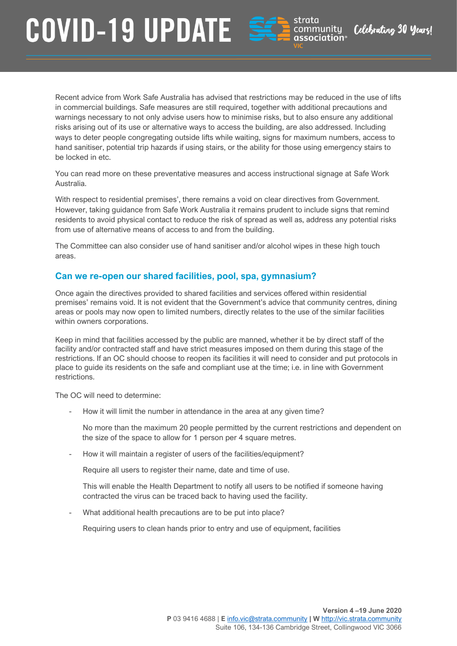

community

association®

Celebrating 30 Years

Recent advice from Work Safe Australia has advised that restrictions may be reduced in the use of lifts in commercial buildings. Safe measures are still required, together with additional precautions and warnings necessary to not only advise users how to minimise risks, but to also ensure any additional risks arising out of its use or alternative ways to access the building, are also addressed. Including ways to deter people congregating outside lifts while waiting, signs for maximum numbers, access to hand sanitiser, potential trip hazards if using stairs, or the ability for those using emergency stairs to be locked in etc.

You can read more on these preventative measures and access instructional signage at [Safe Work](https://www.safeworkaustralia.gov.au/covid-19-information-workplaces/industry-information/office/physical-distancing?tab=tab-toc-employer&utm_source=hs_email&utm_medium=email&utm_content=88209429&_hsenc=p2ANqtz-_tZrgwmTvV4732GIwZ5V2xR6CsdHV88lugOkrKztRiVWdqx9zPAc4lmq0jvyo0m6xKGR1Mph1c6sGoi89IXtIsgwfvPg&_hsmi=88209429#heading--8--tab-toc-lifts)  [Australia.](https://www.safeworkaustralia.gov.au/covid-19-information-workplaces/industry-information/office/physical-distancing?tab=tab-toc-employer&utm_source=hs_email&utm_medium=email&utm_content=88209429&_hsenc=p2ANqtz-_tZrgwmTvV4732GIwZ5V2xR6CsdHV88lugOkrKztRiVWdqx9zPAc4lmq0jvyo0m6xKGR1Mph1c6sGoi89IXtIsgwfvPg&_hsmi=88209429#heading--8--tab-toc-lifts)

With respect to residential premises', there remains a void on clear directives from Government. However, taking guidance from Safe Work Australia it remains prudent to include signs that remind residents to avoid physical contact to reduce the risk of spread as well as, address any potential risks from use of alternative means of access to and from the building.

The Committee can also consider use of hand sanitiser and/or alcohol wipes in these high touch areas.

#### **Can we re-open our shared facilities, pool, spa, gymnasium?**

Once again the directives provided to shared facilities and services offered within residential premises' remains void. It is not evident that the Government's advice that community centres, dining areas or pools may now open to limited numbers, directly relates to the use of the similar facilities within owners corporations.

Keep in mind that facilities accessed by the public are manned, whether it be by direct staff of the facility and/or contracted staff and have strict measures imposed on them during this stage of the restrictions. If an OC should choose to reopen its facilities it will need to consider and put protocols in place to guide its residents on the safe and compliant use at the time; i.e. in line with Government restrictions.

The OC will need to determine:

How it will limit the number in attendance in the area at any given time?

No more than the maximum 20 people permitted by the current restrictions and dependent on the size of the space to allow for 1 person per 4 square metres.

How it will maintain a register of users of the facilities/equipment?

Require all users to register their name, date and time of use.

This will enable the Health Department to notify all users to be notified if someone having contracted the virus can be traced back to having used the facility.

What additional health precautions are to be put into place?

Requiring users to clean hands prior to entry and use of equipment, facilities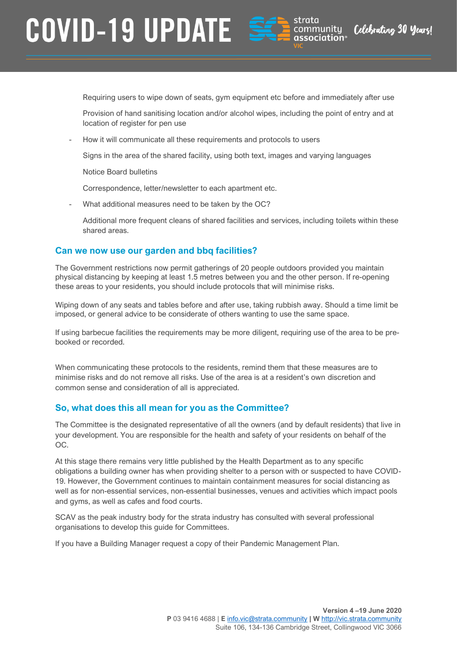

community

association®

Celebrating 30 Years

Requiring users to wipe down of seats, gym equipment etc before and immediately after use

Provision of hand sanitising location and/or alcohol wipes, including the point of entry and at location of register for pen use

- How it will communicate all these requirements and protocols to users

Signs in the area of the shared facility, using both text, images and varying languages

Notice Board bulletins

Correspondence, letter/newsletter to each apartment etc.

What additional measures need to be taken by the OC?

Additional more frequent cleans of shared facilities and services, including toilets within these shared areas.

#### **Can we now use our garden and bbq facilities?**

The Government restrictions now permit gatherings of 20 people outdoors provided you maintain physical distancing by keeping at least 1.5 metres between you and the other person. If re-opening these areas to your residents, you should include protocols that will minimise risks.

Wiping down of any seats and tables before and after use, taking rubbish away. Should a time limit be imposed, or general advice to be considerate of others wanting to use the same space.

If using barbecue facilities the requirements may be more diligent, requiring use of the area to be prebooked or recorded.

When communicating these protocols to the residents, remind them that these measures are to minimise risks and do not remove all risks. Use of the area is at a resident's own discretion and common sense and consideration of all is appreciated.

#### **So, what does this all mean for you as the Committee?**

The Committee is the designated representative of all the owners (and by default residents) that live in your development. You are responsible for the health and safety of your residents on behalf of the OC.

At this stage there remains very little published by the Health Department as to any specific obligations a building owner has when providing shelter to a person with or suspected to have COVID-19. However, the Government continues to maintain containment measures for social distancing as well as for non-essential services, non-essential businesses, venues and activities which impact pools and gyms, as well as cafes and food courts.

SCAV as the peak industry body for the strata industry has consulted with several professional organisations to develop this guide for Committees.

If you have a Building Manager request a copy of their Pandemic Management Plan.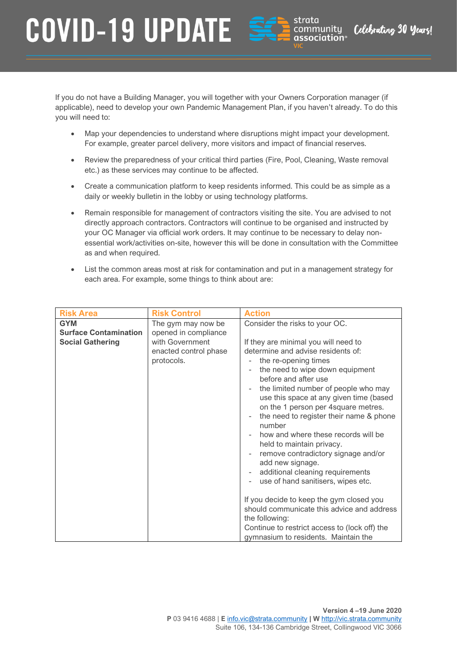

community

association<sup>®</sup>

Celebrating 30 Years!

If you do not have a Building Manager, you will together with your Owners Corporation manager (if applicable), need to develop your own Pandemic Management Plan, if you haven't already. To do this you will need to:

- Map your dependencies to understand where disruptions might impact your development. For example, greater parcel delivery, more visitors and impact of financial reserves.
- Review the preparedness of your critical third parties (Fire, Pool, Cleaning, Waste removal etc.) as these services may continue to be affected.
- Create a communication platform to keep residents informed. This could be as simple as a daily or weekly bulletin in the lobby or using technology platforms.
- Remain responsible for management of contractors visiting the site. You are advised to not directly approach contractors. Contractors will continue to be organised and instructed by your OC Manager via official work orders. It may continue to be necessary to delay nonessential work/activities on-site, however this will be done in consultation with the Committee as and when required.
- List the common areas most at risk for contamination and put in a management strategy for each area. For example, some things to think about are:

| <b>Risk Area</b>             | <b>Risk Control</b>   | <b>Action</b>                                     |
|------------------------------|-----------------------|---------------------------------------------------|
| <b>GYM</b>                   | The gym may now be    | Consider the risks to your OC.                    |
| <b>Surface Contamination</b> | opened in compliance  |                                                   |
| <b>Social Gathering</b>      | with Government       | If they are minimal you will need to              |
|                              | enacted control phase | determine and advise residents of:                |
|                              | protocols.            | the re-opening times                              |
|                              |                       | the need to wipe down equipment                   |
|                              |                       | before and after use                              |
|                              |                       | the limited number of people who may              |
|                              |                       | use this space at any given time (based           |
|                              |                       | on the 1 person per 4square metres.               |
|                              |                       | the need to register their name & phone<br>number |
|                              |                       | how and where these records will be               |
|                              |                       | held to maintain privacy.                         |
|                              |                       | remove contradictory signage and/or               |
|                              |                       | add new signage.                                  |
|                              |                       | additional cleaning requirements                  |
|                              |                       | use of hand sanitisers, wipes etc.                |
|                              |                       |                                                   |
|                              |                       | If you decide to keep the gym closed you          |
|                              |                       | should communicate this advice and address        |
|                              |                       | the following:                                    |
|                              |                       | Continue to restrict access to (lock off) the     |
|                              |                       | gymnasium to residents. Maintain the              |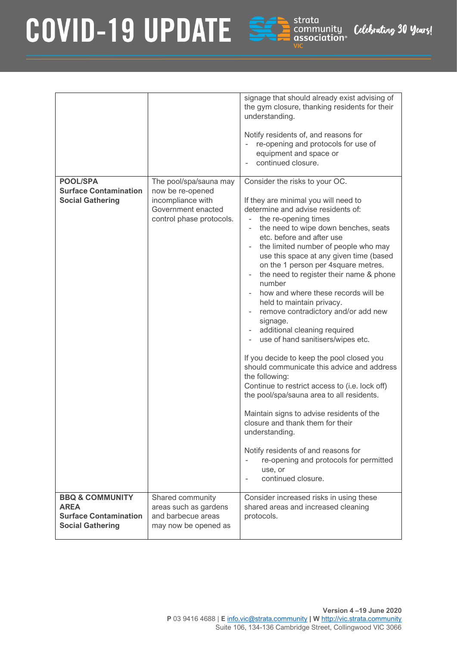

|                                                                                                      |                                                                                         | signage that should already exist advising of<br>the gym closure, thanking residents for their<br>understanding.<br>Notify residents of, and reasons for<br>re-opening and protocols for use of<br>equipment and space or<br>continued closure.                                                                                                                                                                                                                                                                                                                                                                                                                 |
|------------------------------------------------------------------------------------------------------|-----------------------------------------------------------------------------------------|-----------------------------------------------------------------------------------------------------------------------------------------------------------------------------------------------------------------------------------------------------------------------------------------------------------------------------------------------------------------------------------------------------------------------------------------------------------------------------------------------------------------------------------------------------------------------------------------------------------------------------------------------------------------|
| <b>POOL/SPA</b>                                                                                      | The pool/spa/sauna may                                                                  | Consider the risks to your OC.                                                                                                                                                                                                                                                                                                                                                                                                                                                                                                                                                                                                                                  |
| <b>Surface Contamination</b><br><b>Social Gathering</b>                                              | now be re-opened<br>incompliance with<br>Government enacted<br>control phase protocols. | If they are minimal you will need to<br>determine and advise residents of:<br>the re-opening times<br>the need to wipe down benches, seats<br>etc. before and after use<br>the limited number of people who may<br>use this space at any given time (based<br>on the 1 person per 4square metres.<br>the need to register their name & phone<br>number<br>how and where these records will be<br>held to maintain privacy.<br>remove contradictory and/or add new<br>signage.<br>additional cleaning required<br>use of hand sanitisers/wipes etc.<br>If you decide to keep the pool closed you<br>should communicate this advice and address<br>the following: |
|                                                                                                      |                                                                                         | Continue to restrict access to (i.e. lock off)<br>the pool/spa/sauna area to all residents.                                                                                                                                                                                                                                                                                                                                                                                                                                                                                                                                                                     |
|                                                                                                      |                                                                                         | Maintain signs to advise residents of the<br>closure and thank them for their<br>understanding.                                                                                                                                                                                                                                                                                                                                                                                                                                                                                                                                                                 |
|                                                                                                      |                                                                                         | Notify residents of and reasons for<br>re-opening and protocols for permitted<br>use, or<br>continued closure.                                                                                                                                                                                                                                                                                                                                                                                                                                                                                                                                                  |
| <b>BBQ &amp; COMMUNITY</b><br><b>AREA</b><br><b>Surface Contamination</b><br><b>Social Gathering</b> | Shared community<br>areas such as gardens<br>and barbecue areas<br>may now be opened as | Consider increased risks in using these<br>shared areas and increased cleaning<br>protocols.                                                                                                                                                                                                                                                                                                                                                                                                                                                                                                                                                                    |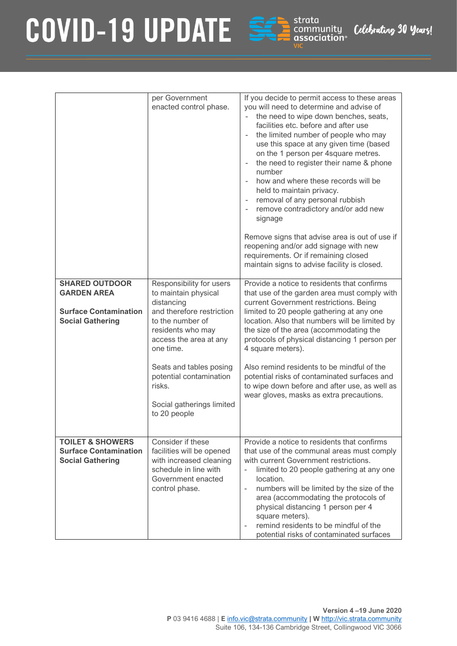

|                                                                                                        | per Government<br>enacted control phase.                                                                                                                                                                                                                                                 | If you decide to permit access to these areas<br>you will need to determine and advise of<br>the need to wipe down benches, seats,<br>facilities etc. before and after use<br>the limited number of people who may<br>use this space at any given time (based<br>on the 1 person per 4square metres.<br>the need to register their name & phone<br>number<br>how and where these records will be<br>held to maintain privacy.<br>removal of any personal rubbish<br>remove contradictory and/or add new<br>signage<br>Remove signs that advise area is out of use if<br>reopening and/or add signage with new<br>requirements. Or if remaining closed<br>maintain signs to advise facility is closed. |
|--------------------------------------------------------------------------------------------------------|------------------------------------------------------------------------------------------------------------------------------------------------------------------------------------------------------------------------------------------------------------------------------------------|-------------------------------------------------------------------------------------------------------------------------------------------------------------------------------------------------------------------------------------------------------------------------------------------------------------------------------------------------------------------------------------------------------------------------------------------------------------------------------------------------------------------------------------------------------------------------------------------------------------------------------------------------------------------------------------------------------|
| <b>SHARED OUTDOOR</b><br><b>GARDEN AREA</b><br><b>Surface Contamination</b><br><b>Social Gathering</b> | Responsibility for users<br>to maintain physical<br>distancing<br>and therefore restriction<br>to the number of<br>residents who may<br>access the area at any<br>one time.<br>Seats and tables posing<br>potential contamination<br>risks.<br>Social gatherings limited<br>to 20 people | Provide a notice to residents that confirms<br>that use of the garden area must comply with<br>current Government restrictions. Being<br>limited to 20 people gathering at any one<br>location. Also that numbers will be limited by<br>the size of the area (accommodating the<br>protocols of physical distancing 1 person per<br>4 square meters).<br>Also remind residents to be mindful of the<br>potential risks of contaminated surfaces and<br>to wipe down before and after use, as well as<br>wear gloves, masks as extra precautions.                                                                                                                                                      |
| <b>TOILET &amp; SHOWERS</b><br><b>Surface Contamination</b><br><b>Social Gathering</b>                 | Consider if these<br>facilities will be opened<br>with increased cleaning<br>schedule in line with<br>Government enacted<br>control phase.                                                                                                                                               | Provide a notice to residents that confirms<br>that use of the communal areas must comply<br>with current Government restrictions.<br>limited to 20 people gathering at any one<br>$\bar{\phantom{a}}$<br>location.<br>numbers will be limited by the size of the<br>area (accommodating the protocols of<br>physical distancing 1 person per 4<br>square meters).<br>remind residents to be mindful of the<br>potential risks of contaminated surfaces                                                                                                                                                                                                                                               |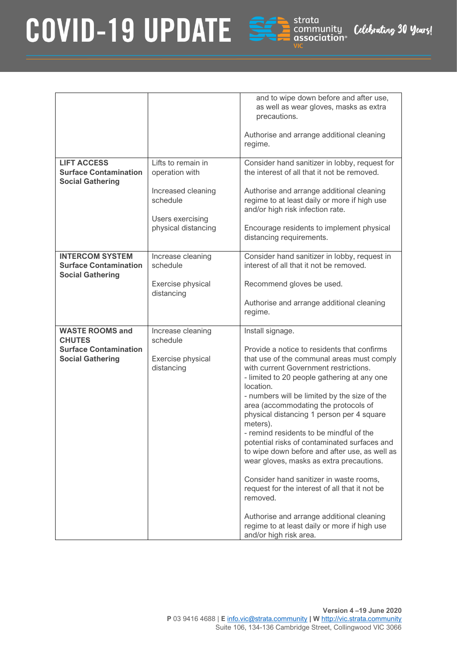

|                                                         |                                 | and to wipe down before and after use,<br>as well as wear gloves, masks as extra<br>precautions.<br>Authorise and arrange additional cleaning<br>regime.                             |
|---------------------------------------------------------|---------------------------------|--------------------------------------------------------------------------------------------------------------------------------------------------------------------------------------|
| <b>LIFT ACCESS</b>                                      | Lifts to remain in              | Consider hand sanitizer in lobby, request for                                                                                                                                        |
| <b>Surface Contamination</b><br><b>Social Gathering</b> | operation with                  | the interest of all that it not be removed.                                                                                                                                          |
|                                                         | Increased cleaning<br>schedule  | Authorise and arrange additional cleaning<br>regime to at least daily or more if high use<br>and/or high risk infection rate.                                                        |
|                                                         | Users exercising                |                                                                                                                                                                                      |
|                                                         | physical distancing             | Encourage residents to implement physical<br>distancing requirements.                                                                                                                |
| <b>INTERCOM SYSTEM</b>                                  | Increase cleaning               | Consider hand sanitizer in lobby, request in                                                                                                                                         |
| <b>Surface Contamination</b><br><b>Social Gathering</b> | schedule                        | interest of all that it not be removed.                                                                                                                                              |
|                                                         | Exercise physical<br>distancing | Recommend gloves be used.                                                                                                                                                            |
|                                                         |                                 | Authorise and arrange additional cleaning<br>regime.                                                                                                                                 |
| <b>WASTE ROOMS and</b><br><b>CHUTES</b>                 | Increase cleaning<br>schedule   | Install signage.                                                                                                                                                                     |
| <b>Surface Contamination</b>                            |                                 | Provide a notice to residents that confirms                                                                                                                                          |
| <b>Social Gathering</b>                                 | Exercise physical<br>distancing | that use of the communal areas must comply<br>with current Government restrictions.<br>- limited to 20 people gathering at any one<br>location.                                      |
|                                                         |                                 | - numbers will be limited by the size of the<br>area (accommodating the protocols of<br>physical distancing 1 person per 4 square<br>meters).                                        |
|                                                         |                                 | - remind residents to be mindful of the<br>potential risks of contaminated surfaces and<br>to wipe down before and after use, as well as<br>wear gloves, masks as extra precautions. |
|                                                         |                                 | Consider hand sanitizer in waste rooms,<br>request for the interest of all that it not be<br>removed.                                                                                |
|                                                         |                                 | Authorise and arrange additional cleaning<br>regime to at least daily or more if high use<br>and/or high risk area.                                                                  |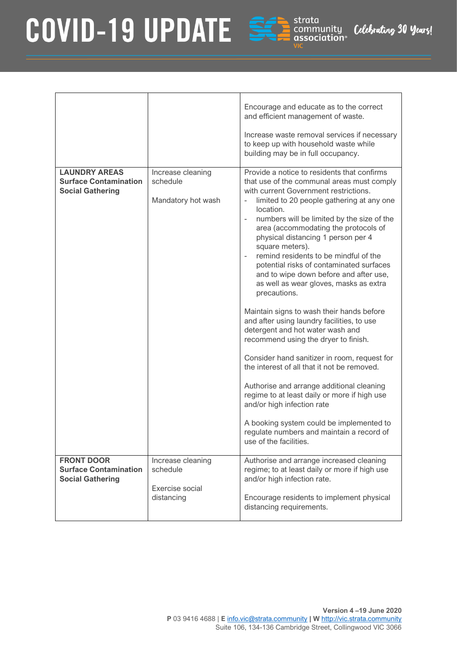

|                                                                                 |                                                                | Encourage and educate as to the correct<br>and efficient management of waste.                                                                                                                                                                                                                                                                                                                                                                                                                                                                                                                                                                                                                                                                                                                                                                                                                                                                                                                                                                            |
|---------------------------------------------------------------------------------|----------------------------------------------------------------|----------------------------------------------------------------------------------------------------------------------------------------------------------------------------------------------------------------------------------------------------------------------------------------------------------------------------------------------------------------------------------------------------------------------------------------------------------------------------------------------------------------------------------------------------------------------------------------------------------------------------------------------------------------------------------------------------------------------------------------------------------------------------------------------------------------------------------------------------------------------------------------------------------------------------------------------------------------------------------------------------------------------------------------------------------|
|                                                                                 |                                                                | Increase waste removal services if necessary<br>to keep up with household waste while<br>building may be in full occupancy.                                                                                                                                                                                                                                                                                                                                                                                                                                                                                                                                                                                                                                                                                                                                                                                                                                                                                                                              |
| <b>LAUNDRY AREAS</b><br><b>Surface Contamination</b><br><b>Social Gathering</b> | Increase cleaning<br>schedule<br>Mandatory hot wash            | Provide a notice to residents that confirms<br>that use of the communal areas must comply<br>with current Government restrictions.<br>limited to 20 people gathering at any one<br>location.<br>numbers will be limited by the size of the<br>area (accommodating the protocols of<br>physical distancing 1 person per 4<br>square meters).<br>remind residents to be mindful of the<br>potential risks of contaminated surfaces<br>and to wipe down before and after use,<br>as well as wear gloves, masks as extra<br>precautions.<br>Maintain signs to wash their hands before<br>and after using laundry facilities, to use<br>detergent and hot water wash and<br>recommend using the dryer to finish.<br>Consider hand sanitizer in room, request for<br>the interest of all that it not be removed.<br>Authorise and arrange additional cleaning<br>regime to at least daily or more if high use<br>and/or high infection rate<br>A booking system could be implemented to<br>regulate numbers and maintain a record of<br>use of the facilities. |
| <b>FRONT DOOR</b><br><b>Surface Contamination</b><br><b>Social Gathering</b>    | Increase cleaning<br>schedule<br>Exercise social<br>distancing | Authorise and arrange increased cleaning<br>regime; to at least daily or more if high use<br>and/or high infection rate.<br>Encourage residents to implement physical<br>distancing requirements.                                                                                                                                                                                                                                                                                                                                                                                                                                                                                                                                                                                                                                                                                                                                                                                                                                                        |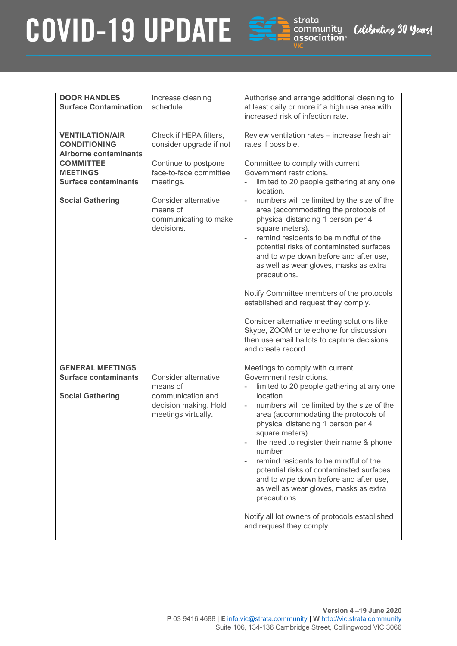

| <b>DOOR HANDLES</b><br><b>Surface Contamination</b>                           | Increase cleaning<br>schedule                                                                         | Authorise and arrange additional cleaning to<br>at least daily or more if a high use area with<br>increased risk of infection rate.                                                                                                                                                                                                                                                                                                                                                                                                                                                            |
|-------------------------------------------------------------------------------|-------------------------------------------------------------------------------------------------------|------------------------------------------------------------------------------------------------------------------------------------------------------------------------------------------------------------------------------------------------------------------------------------------------------------------------------------------------------------------------------------------------------------------------------------------------------------------------------------------------------------------------------------------------------------------------------------------------|
| <b>VENTILATION/AIR</b><br><b>CONDITIONING</b><br><b>Airborne contaminants</b> | Check if HEPA filters,<br>consider upgrade if not                                                     | Review ventilation rates - increase fresh air<br>rates if possible.                                                                                                                                                                                                                                                                                                                                                                                                                                                                                                                            |
| <b>COMMITTEE</b><br><b>MEETINGS</b><br><b>Surface contaminants</b>            | Continue to postpone<br>face-to-face committee<br>meetings.                                           | Committee to comply with current<br>Government restrictions.<br>limited to 20 people gathering at any one<br>$\overline{a}$<br>location.                                                                                                                                                                                                                                                                                                                                                                                                                                                       |
| <b>Social Gathering</b>                                                       | Consider alternative<br>means of<br>communicating to make<br>decisions.                               | numbers will be limited by the size of the<br>area (accommodating the protocols of<br>physical distancing 1 person per 4<br>square meters).<br>remind residents to be mindful of the<br>÷,<br>potential risks of contaminated surfaces<br>and to wipe down before and after use,<br>as well as wear gloves, masks as extra<br>precautions.<br>Notify Committee members of the protocols<br>established and request they comply.<br>Consider alternative meeting solutions like<br>Skype, ZOOM or telephone for discussion<br>then use email ballots to capture decisions<br>and create record. |
| <b>GENERAL MEETINGS</b>                                                       |                                                                                                       | Meetings to comply with current                                                                                                                                                                                                                                                                                                                                                                                                                                                                                                                                                                |
| <b>Surface contaminants</b><br><b>Social Gathering</b>                        | Consider alternative<br>means of<br>communication and<br>decision making. Hold<br>meetings virtually. | Government restrictions.<br>limited to 20 people gathering at any one<br>location.<br>numbers will be limited by the size of the<br>$\qquad \qquad -$<br>area (accommodating the protocols of<br>physical distancing 1 person per 4<br>square meters).<br>the need to register their name & phone<br>number<br>remind residents to be mindful of the<br>÷,<br>potential risks of contaminated surfaces<br>and to wipe down before and after use,<br>as well as wear gloves, masks as extra<br>precautions.                                                                                     |
|                                                                               |                                                                                                       | Notify all lot owners of protocols established<br>and request they comply.                                                                                                                                                                                                                                                                                                                                                                                                                                                                                                                     |